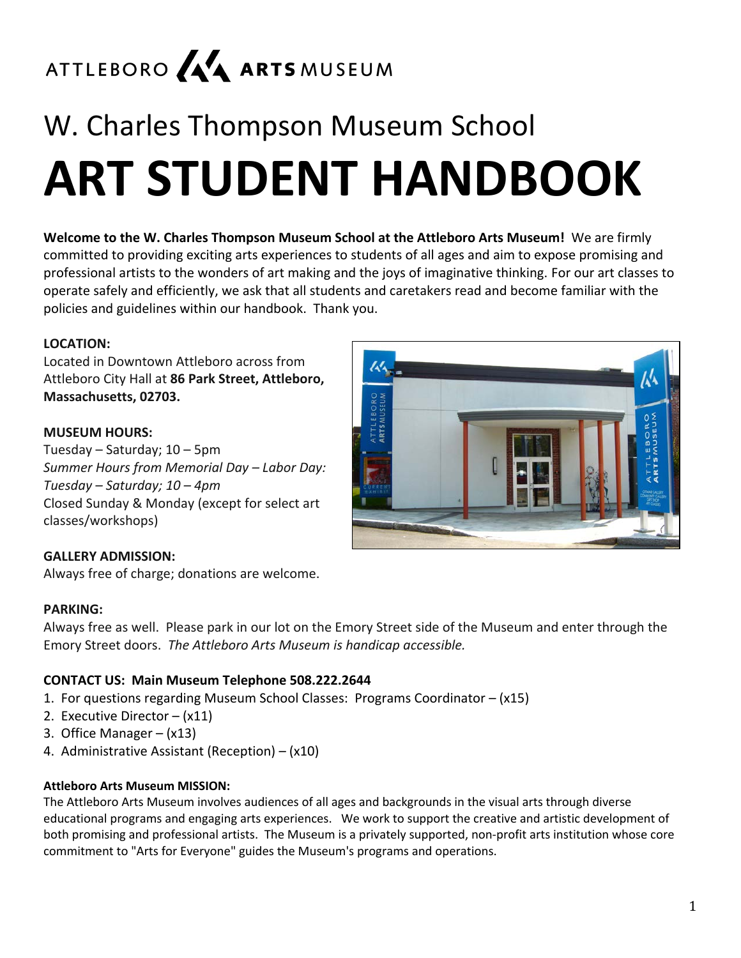# ATTLEBORO A4 ARTS MUSEUM

# W. Charles Thompson Museum School **ART STUDENT HANDBOOK**

**Welcome to the W. Charles Thompson Museum School at the Attleboro Arts Museum!** We are firmly committed to providing exciting arts experiences to students of all ages and aim to expose promising and professional artists to the wonders of art making and the joys of imaginative thinking. For our art classes to operate safely and efficiently, we ask that all students and caretakers read and become familiar with the policies and guidelines within our handbook. Thank you.

#### **LOCATION:**

Located in Downtown Attleboro across from Attleboro City Hall at **86 Park Street, Attleboro, Massachusetts, 02703.**

#### **MUSEUM HOURS:**

Tuesday – Saturday; 10 – 5pm *Summer Hours from Memorial Day – Labor Day: Tuesday – Saturday; 10 – 4pm* Closed Sunday & Monday (except for select art classes/workshops)



#### **GALLERY ADMISSION:**

Always free of charge; donations are welcome.

#### **PARKING:**

Always free as well. Please park in our lot on the Emory Street side of the Museum and enter through the Emory Street doors. *The Attleboro Arts Museum is handicap accessible.*

#### **CONTACT US: Main Museum Telephone 508.222.2644**

- 1. For questions regarding Museum School Classes: Programs Coordinator (x15)
- 2. Executive Director (x11)
- 3. Office Manager (x13)
- 4. Administrative Assistant (Reception) (x10)

#### **Attleboro Arts Museum MISSION:**

The Attleboro Arts Museum involves audiences of all ages and backgrounds in the visual arts through diverse educational programs and engaging arts experiences. We work to support the creative and artistic development of both promising and professional artists. The Museum is a privately supported, non-profit arts institution whose core commitment to "Arts for Everyone" guides the Museum's programs and operations.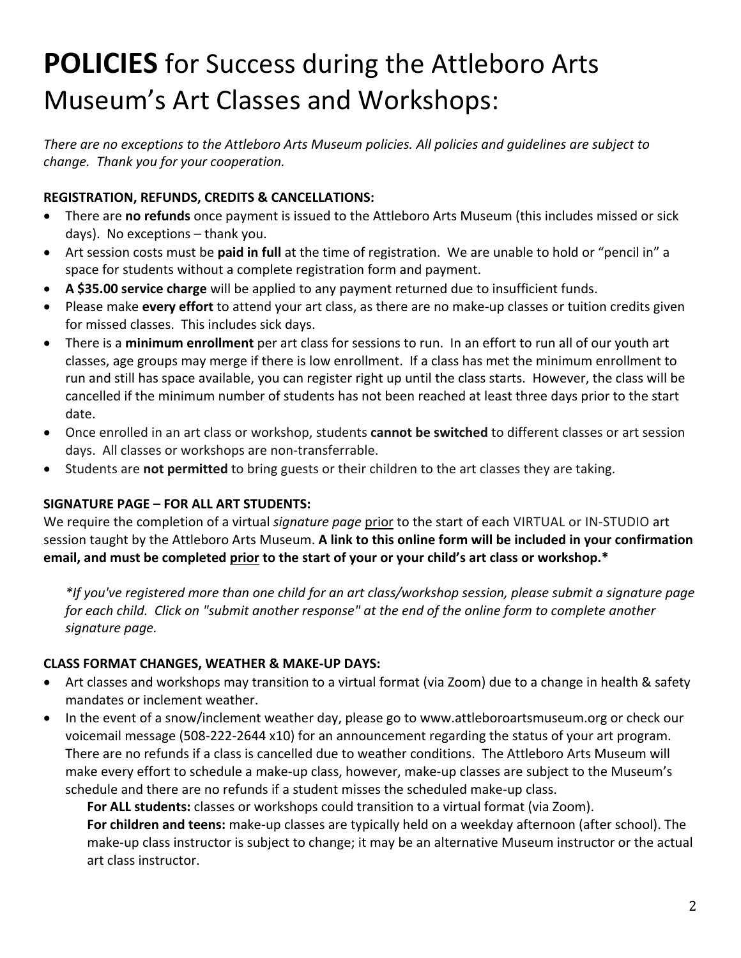# **POLICIES** for Success during the Attleboro Arts Museum's Art Classes and Workshops:

*There are no exceptions to the Attleboro Arts Museum policies. All policies and guidelines are subject to change. Thank you for your cooperation.*

#### **REGISTRATION, REFUNDS, CREDITS & CANCELLATIONS:**

- There are **no refunds** once payment is issued to the Attleboro Arts Museum (this includes missed or sick days). No exceptions – thank you.
- Art session costs must be **paid in full** at the time of registration. We are unable to hold or "pencil in" a space for students without a complete registration form and payment.
- **A \$35.00 service charge** will be applied to any payment returned due to insufficient funds.
- Please make **every effort** to attend your art class, as there are no make-up classes or tuition credits given for missed classes. This includes sick days.
- There is a **minimum enrollment** per art class for sessions to run. In an effort to run all of our youth art classes, age groups may merge if there is low enrollment. If a class has met the minimum enrollment to run and still has space available, you can register right up until the class starts. However, the class will be cancelled if the minimum number of students has not been reached at least three days prior to the start date.
- Once enrolled in an art class or workshop, students **cannot be switched** to different classes or art session days. All classes or workshops are non-transferrable.
- Students are **not permitted** to bring guests or their children to the art classes they are taking.

#### **SIGNATURE PAGE – FOR ALL ART STUDENTS:**

We require the completion of a virtual *signature page* prior to the start of each VIRTUAL or IN-STUDIO art session taught by the Attleboro Arts Museum. **A link to this online form will be included in your confirmation email, and must be completed prior to the start of your or your child's art class or workshop.\***

*\*If you've registered more than one child for an art class/workshop session, please submit a signature page for each child. Click on "submit another response" at the end of the online form to complete another signature page.*

#### **CLASS FORMAT CHANGES, WEATHER & MAKE-UP DAYS:**

- Art classes and workshops may transition to a virtual format (via Zoom) due to a change in health & safety mandates or inclement weather.
- In the event of a snow/inclement weather day, please go to www.attleboroartsmuseum.org or check our voicemail message (508-222-2644 x10) for an announcement regarding the status of your art program. There are no refunds if a class is cancelled due to weather conditions. The Attleboro Arts Museum will make every effort to schedule a make-up class, however, make-up classes are subject to the Museum's schedule and there are no refunds if a student misses the scheduled make-up class.

**For ALL students:** classes or workshops could transition to a virtual format (via Zoom).

**For children and teens:** make-up classes are typically held on a weekday afternoon (after school). The make-up class instructor is subject to change; it may be an alternative Museum instructor or the actual art class instructor.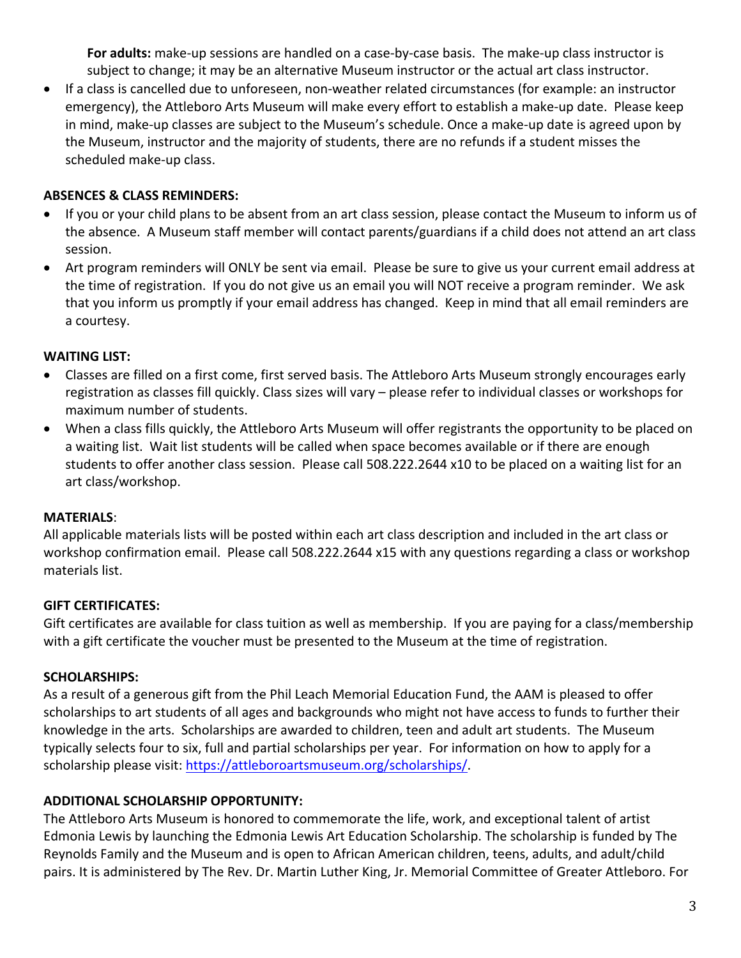**For adults:** make-up sessions are handled on a case-by-case basis. The make-up class instructor is subject to change; it may be an alternative Museum instructor or the actual art class instructor.

• If a class is cancelled due to unforeseen, non-weather related circumstances (for example: an instructor emergency), the Attleboro Arts Museum will make every effort to establish a make-up date. Please keep in mind, make-up classes are subject to the Museum's schedule. Once a make-up date is agreed upon by the Museum, instructor and the majority of students, there are no refunds if a student misses the scheduled make-up class.

#### **ABSENCES & CLASS REMINDERS:**

- If you or your child plans to be absent from an art class session, please contact the Museum to inform us of the absence. A Museum staff member will contact parents/guardians if a child does not attend an art class session.
- Art program reminders will ONLY be sent via email. Please be sure to give us your current email address at the time of registration. If you do not give us an email you will NOT receive a program reminder. We ask that you inform us promptly if your email address has changed. Keep in mind that all email reminders are a courtesy.

#### **WAITING LIST:**

- Classes are filled on a first come, first served basis. The Attleboro Arts Museum strongly encourages early registration as classes fill quickly. Class sizes will vary – please refer to individual classes or workshops for maximum number of students.
- When a class fills quickly, the Attleboro Arts Museum will offer registrants the opportunity to be placed on a waiting list. Wait list students will be called when space becomes available or if there are enough students to offer another class session. Please call 508.222.2644 x10 to be placed on a waiting list for an art class/workshop.

#### **MATERIALS**:

All applicable materials lists will be posted within each art class description and included in the art class or workshop confirmation email. Please call 508.222.2644 x15 with any questions regarding a class or workshop materials list.

#### **GIFT CERTIFICATES:**

Gift certificates are available for class tuition as well as membership. If you are paying for a class/membership with a gift certificate the voucher must be presented to the Museum at the time of registration.

#### **SCHOLARSHIPS:**

As a result of a generous gift from the Phil Leach Memorial Education Fund, the AAM is pleased to offer scholarships to art students of all ages and backgrounds who might not have access to funds to further their knowledge in the arts. Scholarships are awarded to children, teen and adult art students. The Museum typically selects four to six, full and partial scholarships per year. For information on how to apply for a scholarship please visit: https://attleboroartsmuseum.org/scholarships/.

#### **ADDITIONAL SCHOLARSHIP OPPORTUNITY:**

The Attleboro Arts Museum is honored to commemorate the life, work, and exceptional talent of artist Edmonia Lewis by launching the Edmonia Lewis Art Education Scholarship. The scholarship is funded by The Reynolds Family and the Museum and is open to African American children, teens, adults, and adult/child pairs. It is administered by The Rev. Dr. Martin Luther King, Jr. Memorial Committee of Greater Attleboro. For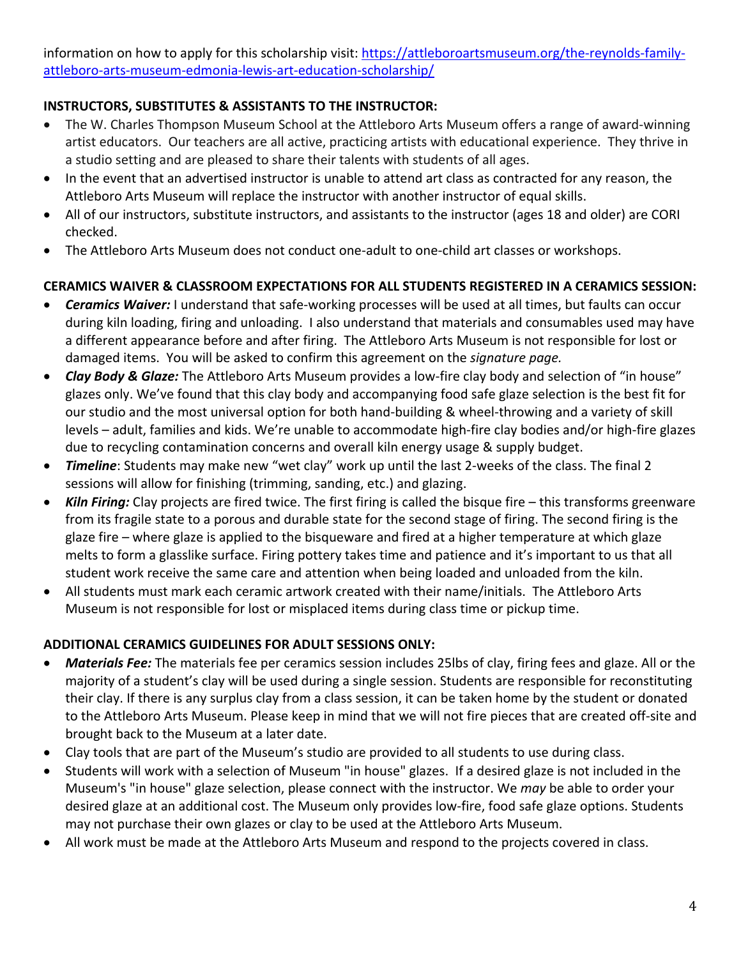information on how to apply for this scholarship visit: https://attleboroartsmuseum.org/the-reynolds-familyattleboro-arts-museum-edmonia-lewis-art-education-scholarship/

#### **INSTRUCTORS, SUBSTITUTES & ASSISTANTS TO THE INSTRUCTOR:**

- The W. Charles Thompson Museum School at the Attleboro Arts Museum offers a range of award-winning artist educators. Our teachers are all active, practicing artists with educational experience. They thrive in a studio setting and are pleased to share their talents with students of all ages.
- In the event that an advertised instructor is unable to attend art class as contracted for any reason, the Attleboro Arts Museum will replace the instructor with another instructor of equal skills.
- All of our instructors, substitute instructors, and assistants to the instructor (ages 18 and older) are CORI checked.
- The Attleboro Arts Museum does not conduct one-adult to one-child art classes or workshops.

#### **CERAMICS WAIVER & CLASSROOM EXPECTATIONS FOR ALL STUDENTS REGISTERED IN A CERAMICS SESSION:**

- *Ceramics Waiver:* I understand that safe-working processes will be used at all times, but faults can occur during kiln loading, firing and unloading. I also understand that materials and consumables used may have a different appearance before and after firing. The Attleboro Arts Museum is not responsible for lost or damaged items. You will be asked to confirm this agreement on the *signature page.*
- *Clay Body & Glaze:* The Attleboro Arts Museum provides a low-fire clay body and selection of "in house" glazes only. We've found that this clay body and accompanying food safe glaze selection is the best fit for our studio and the most universal option for both hand-building & wheel-throwing and a variety of skill levels – adult, families and kids. We're unable to accommodate high-fire clay bodies and/or high-fire glazes due to recycling contamination concerns and overall kiln energy usage & supply budget.
- *Timeline*: Students may make new "wet clay" work up until the last 2-weeks of the class. The final 2 sessions will allow for finishing (trimming, sanding, etc.) and glazing.
- *Kiln Firing:* Clay projects are fired twice. The first firing is called the bisque fire this transforms greenware from its fragile state to a porous and durable state for the second stage of firing. The second firing is the glaze fire – where glaze is applied to the bisqueware and fired at a higher temperature at which glaze melts to form a glasslike surface. Firing pottery takes time and patience and it's important to us that all student work receive the same care and attention when being loaded and unloaded from the kiln.
- All students must mark each ceramic artwork created with their name/initials. The Attleboro Arts Museum is not responsible for lost or misplaced items during class time or pickup time.

#### **ADDITIONAL CERAMICS GUIDELINES FOR ADULT SESSIONS ONLY:**

- *Materials Fee:* The materials fee per ceramics session includes 25lbs of clay, firing fees and glaze. All or the majority of a student's clay will be used during a single session. Students are responsible for reconstituting their clay. If there is any surplus clay from a class session, it can be taken home by the student or donated to the Attleboro Arts Museum. Please keep in mind that we will not fire pieces that are created off-site and brought back to the Museum at a later date.
- Clay tools that are part of the Museum's studio are provided to all students to use during class.
- Students will work with a selection of Museum "in house" glazes. If a desired glaze is not included in the Museum's "in house" glaze selection, please connect with the instructor. We *may* be able to order your desired glaze at an additional cost. The Museum only provides low-fire, food safe glaze options. Students may not purchase their own glazes or clay to be used at the Attleboro Arts Museum.
- All work must be made at the Attleboro Arts Museum and respond to the projects covered in class.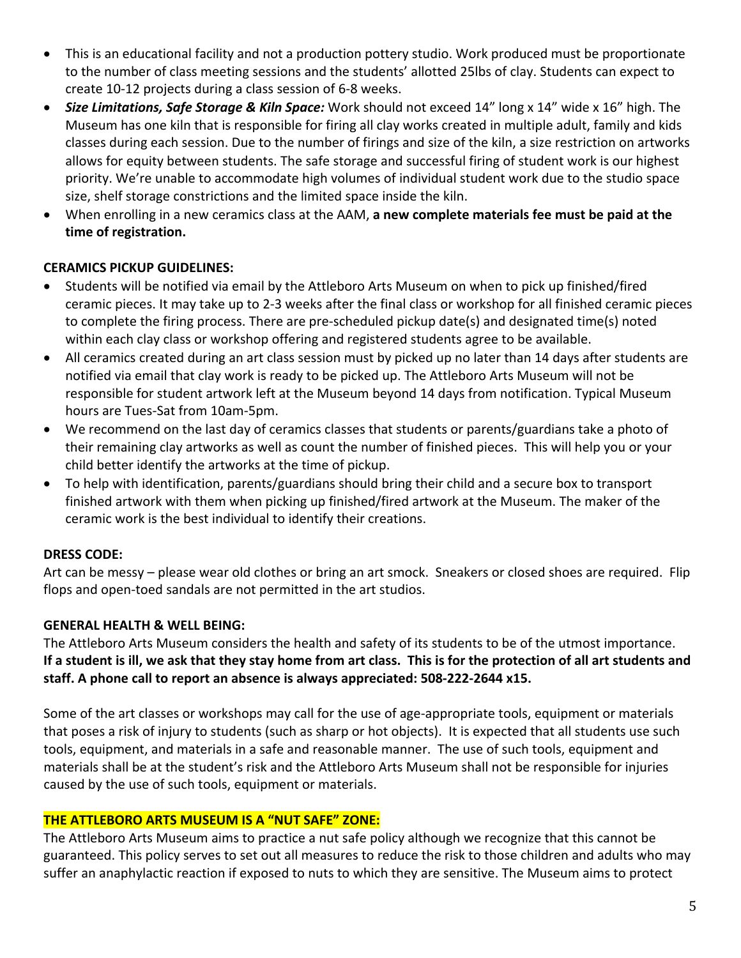- This is an educational facility and not a production pottery studio. Work produced must be proportionate to the number of class meeting sessions and the students' allotted 25lbs of clay. Students can expect to create 10-12 projects during a class session of 6-8 weeks.
- *Size Limitations, Safe Storage & Kiln Space:* Work should not exceed 14" long x 14" wide x 16" high. The Museum has one kiln that is responsible for firing all clay works created in multiple adult, family and kids classes during each session. Due to the number of firings and size of the kiln, a size restriction on artworks allows for equity between students. The safe storage and successful firing of student work is our highest priority. We're unable to accommodate high volumes of individual student work due to the studio space size, shelf storage constrictions and the limited space inside the kiln.
- When enrolling in a new ceramics class at the AAM, **a new complete materials fee must be paid at the time of registration.**

#### **CERAMICS PICKUP GUIDELINES:**

- Students will be notified via email by the Attleboro Arts Museum on when to pick up finished/fired ceramic pieces. It may take up to 2-3 weeks after the final class or workshop for all finished ceramic pieces to complete the firing process. There are pre-scheduled pickup date(s) and designated time(s) noted within each clay class or workshop offering and registered students agree to be available.
- All ceramics created during an art class session must by picked up no later than 14 days after students are notified via email that clay work is ready to be picked up. The Attleboro Arts Museum will not be responsible for student artwork left at the Museum beyond 14 days from notification. Typical Museum hours are Tues-Sat from 10am-5pm.
- We recommend on the last day of ceramics classes that students or parents/guardians take a photo of their remaining clay artworks as well as count the number of finished pieces. This will help you or your child better identify the artworks at the time of pickup.
- To help with identification, parents/guardians should bring their child and a secure box to transport finished artwork with them when picking up finished/fired artwork at the Museum. The maker of the ceramic work is the best individual to identify their creations.

#### **DRESS CODE:**

Art can be messy – please wear old clothes or bring an art smock. Sneakers or closed shoes are required. Flip flops and open-toed sandals are not permitted in the art studios.

#### **GENERAL HEALTH & WELL BEING:**

The Attleboro Arts Museum considers the health and safety of its students to be of the utmost importance. **If a student is ill, we ask that they stay home from art class. This is for the protection of all art students and staff. A phone call to report an absence is always appreciated: 508-222-2644 x15.**

Some of the art classes or workshops may call for the use of age-appropriate tools, equipment or materials that poses a risk of injury to students (such as sharp or hot objects). It is expected that all students use such tools, equipment, and materials in a safe and reasonable manner. The use of such tools, equipment and materials shall be at the student's risk and the Attleboro Arts Museum shall not be responsible for injuries caused by the use of such tools, equipment or materials.

#### **THE ATTLEBORO ARTS MUSEUM IS A "NUT SAFE" ZONE:**

The Attleboro Arts Museum aims to practice a nut safe policy although we recognize that this cannot be guaranteed. This policy serves to set out all measures to reduce the risk to those children and adults who may suffer an anaphylactic reaction if exposed to nuts to which they are sensitive. The Museum aims to protect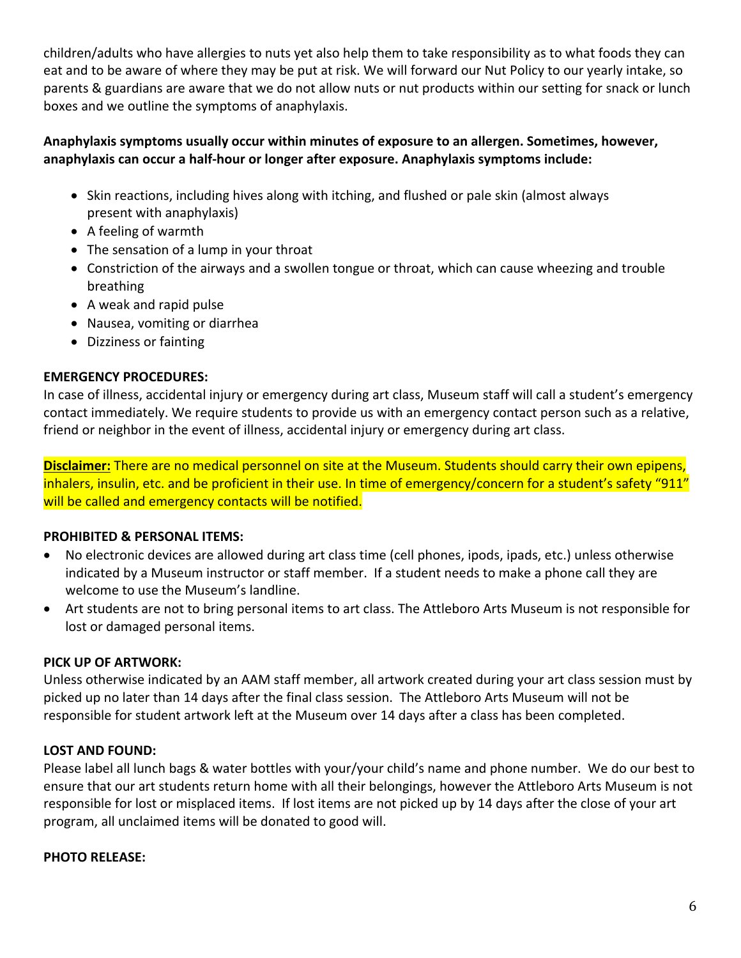children/adults who have allergies to nuts yet also help them to take responsibility as to what foods they can eat and to be aware of where they may be put at risk. We will forward our Nut Policy to our yearly intake, so parents & guardians are aware that we do not allow nuts or nut products within our setting for snack or lunch boxes and we outline the symptoms of anaphylaxis.

#### **Anaphylaxis symptoms usually occur within minutes of exposure to an allergen. Sometimes, however, anaphylaxis can occur a half-hour or longer after exposure. Anaphylaxis symptoms include:**

- Skin reactions, including hives along with itching, and flushed or pale skin (almost always present with anaphylaxis)
- A feeling of warmth
- The sensation of a lump in your throat
- Constriction of the airways and a swollen tongue or throat, which can cause wheezing and trouble breathing
- A weak and rapid pulse
- Nausea, vomiting or diarrhea
- Dizziness or fainting

#### **EMERGENCY PROCEDURES:**

In case of illness, accidental injury or emergency during art class, Museum staff will call a student's emergency contact immediately. We require students to provide us with an emergency contact person such as a relative, friend or neighbor in the event of illness, accidental injury or emergency during art class.

**Disclaimer:** There are no medical personnel on site at the Museum. Students should carry their own epipens, inhalers, insulin, etc. and be proficient in their use. In time of emergency/concern for a student's safety "911" will be called and emergency contacts will be notified.

#### **PROHIBITED & PERSONAL ITEMS:**

- No electronic devices are allowed during art class time (cell phones, ipods, ipads, etc.) unless otherwise indicated by a Museum instructor or staff member. If a student needs to make a phone call they are welcome to use the Museum's landline.
- Art students are not to bring personal items to art class. The Attleboro Arts Museum is not responsible for lost or damaged personal items.

#### **PICK UP OF ARTWORK:**

Unless otherwise indicated by an AAM staff member, all artwork created during your art class session must by picked up no later than 14 days after the final class session. The Attleboro Arts Museum will not be responsible for student artwork left at the Museum over 14 days after a class has been completed.

#### **LOST AND FOUND:**

Please label all lunch bags & water bottles with your/your child's name and phone number. We do our best to ensure that our art students return home with all their belongings, however the Attleboro Arts Museum is not responsible for lost or misplaced items. If lost items are not picked up by 14 days after the close of your art program, all unclaimed items will be donated to good will.

#### **PHOTO RELEASE:**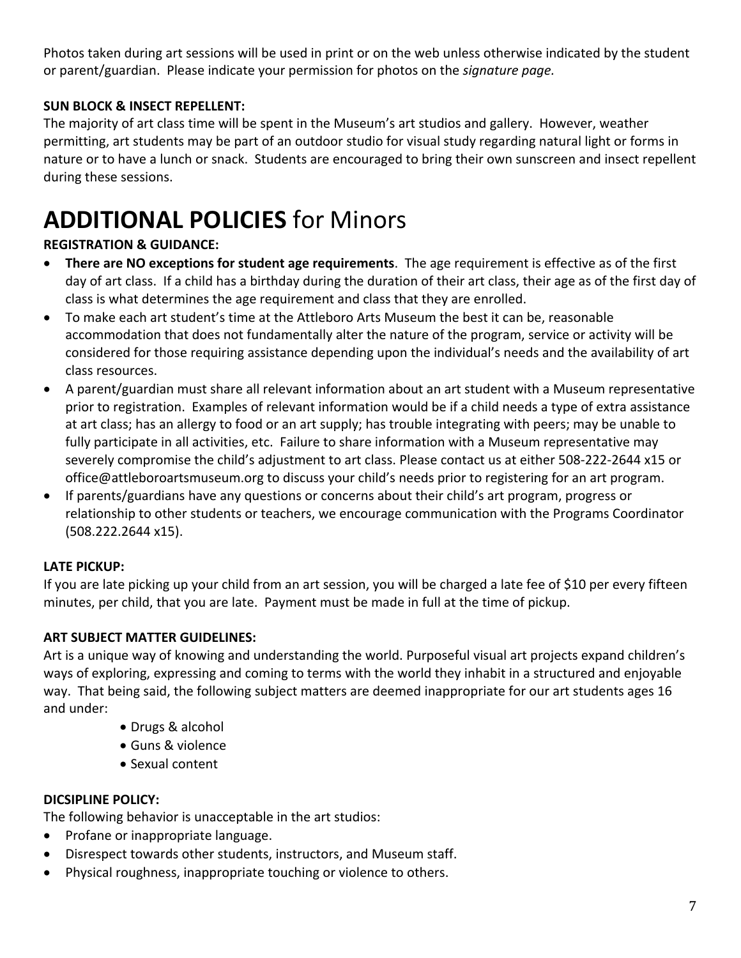Photos taken during art sessions will be used in print or on the web unless otherwise indicated by the student or parent/guardian. Please indicate your permission for photos on the *signature page.*

#### **SUN BLOCK & INSECT REPELLENT:**

The majority of art class time will be spent in the Museum's art studios and gallery. However, weather permitting, art students may be part of an outdoor studio for visual study regarding natural light or forms in nature or to have a lunch or snack. Students are encouraged to bring their own sunscreen and insect repellent during these sessions.

## **ADDITIONAL POLICIES** for Minors

#### **REGISTRATION & GUIDANCE:**

- **There are NO exceptions for student age requirements**. The age requirement is effective as of the first day of art class. If a child has a birthday during the duration of their art class, their age as of the first day of class is what determines the age requirement and class that they are enrolled.
- To make each art student's time at the Attleboro Arts Museum the best it can be, reasonable accommodation that does not fundamentally alter the nature of the program, service or activity will be considered for those requiring assistance depending upon the individual's needs and the availability of art class resources.
- A parent/guardian must share all relevant information about an art student with a Museum representative prior to registration. Examples of relevant information would be if a child needs a type of extra assistance at art class; has an allergy to food or an art supply; has trouble integrating with peers; may be unable to fully participate in all activities, etc. Failure to share information with a Museum representative may severely compromise the child's adjustment to art class. Please contact us at either 508-222-2644 x15 or office@attleboroartsmuseum.org to discuss your child's needs prior to registering for an art program.
- If parents/guardians have any questions or concerns about their child's art program, progress or relationship to other students or teachers, we encourage communication with the Programs Coordinator (508.222.2644 x15).

#### **LATE PICKUP:**

If you are late picking up your child from an art session, you will be charged a late fee of \$10 per every fifteen minutes, per child, that you are late. Payment must be made in full at the time of pickup.

#### **ART SUBJECT MATTER GUIDELINES:**

Art is a unique way of knowing and understanding the world. Purposeful visual art projects expand children's ways of exploring, expressing and coming to terms with the world they inhabit in a structured and enjoyable way. That being said, the following subject matters are deemed inappropriate for our art students ages 16 and under:

- Drugs & alcohol
- Guns & violence
- Sexual content

#### **DICSIPLINE POLICY:**

The following behavior is unacceptable in the art studios:

- Profane or inappropriate language.
- Disrespect towards other students, instructors, and Museum staff.
- Physical roughness, inappropriate touching or violence to others.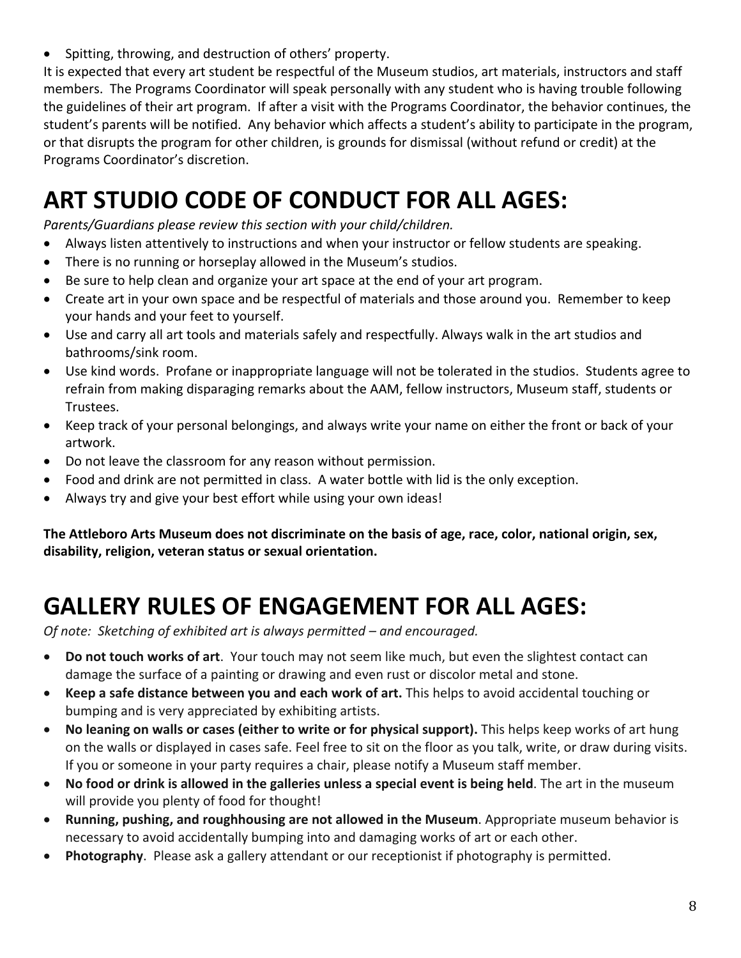• Spitting, throwing, and destruction of others' property.

It is expected that every art student be respectful of the Museum studios, art materials, instructors and staff members. The Programs Coordinator will speak personally with any student who is having trouble following the guidelines of their art program. If after a visit with the Programs Coordinator, the behavior continues, the student's parents will be notified. Any behavior which affects a student's ability to participate in the program, or that disrupts the program for other children, is grounds for dismissal (without refund or credit) at the Programs Coordinator's discretion.

### **ART STUDIO CODE OF CONDUCT FOR ALL AGES:**

*Parents/Guardians please review this section with your child/children.*

- Always listen attentively to instructions and when your instructor or fellow students are speaking.
- There is no running or horseplay allowed in the Museum's studios.
- Be sure to help clean and organize your art space at the end of your art program.
- Create art in your own space and be respectful of materials and those around you. Remember to keep your hands and your feet to yourself.
- Use and carry all art tools and materials safely and respectfully. Always walk in the art studios and bathrooms/sink room.
- Use kind words. Profane or inappropriate language will not be tolerated in the studios. Students agree to refrain from making disparaging remarks about the AAM, fellow instructors, Museum staff, students or Trustees.
- Keep track of your personal belongings, and always write your name on either the front or back of your artwork.
- Do not leave the classroom for any reason without permission.
- Food and drink are not permitted in class. A water bottle with lid is the only exception.
- Always try and give your best effort while using your own ideas!

**The Attleboro Arts Museum does not discriminate on the basis of age, race, color, national origin, sex, disability, religion, veteran status or sexual orientation.**

### **GALLERY RULES OF ENGAGEMENT FOR ALL AGES:**

*Of note: Sketching of exhibited art is always permitted – and encouraged.*

- **Do not touch works of art**.Your touch may not seem like much, but even the slightest contact can damage the surface of a painting or drawing and even rust or discolor metal and stone.
- **Keep a safe distance between you and each work of art.** This helps to avoid accidental touching or bumping and is very appreciated by exhibiting artists.
- **No leaning on walls or cases (either to write or for physical support).** This helps keep works of art hung on the walls or displayed in cases safe. Feel free to sit on the floor as you talk, write, or draw during visits. If you or someone in your party requires a chair, please notify a Museum staff member.
- **No food or drink is allowed in the galleries unless a special event is being held**. The art in the museum will provide you plenty of food for thought!
- **Running, pushing, and roughhousing are not allowed in the Museum**. Appropriate museum behavior is necessary to avoid accidentally bumping into and damaging works of art or each other.
- **Photography**. Please ask a gallery attendant or our receptionist if photography is permitted.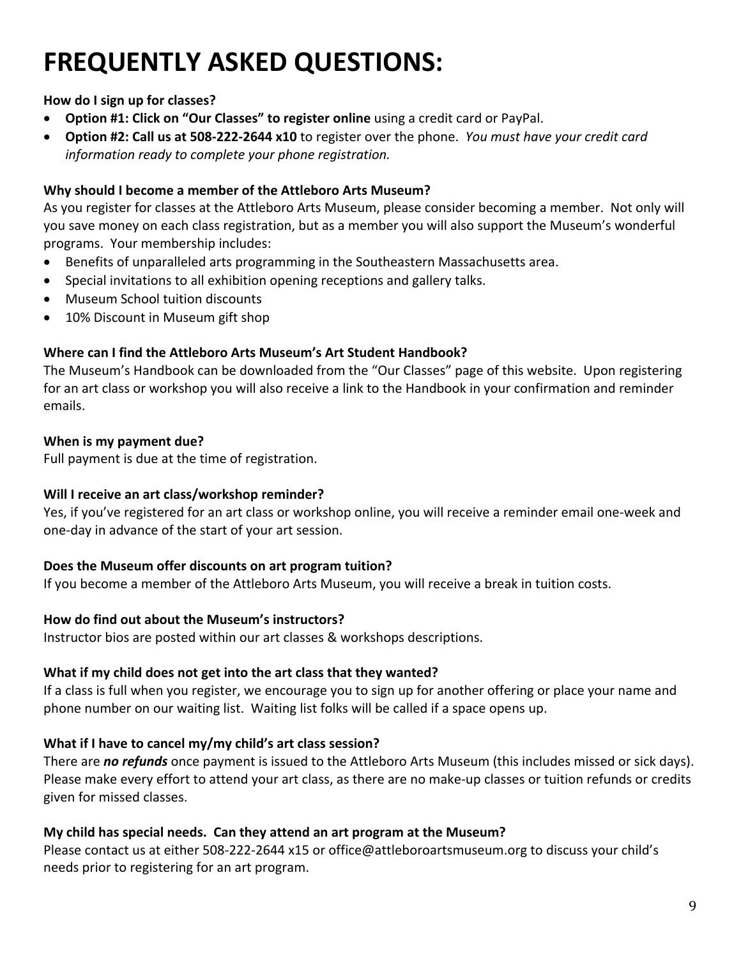## **FREQUENTLY ASKED QUESTIONS:**

#### **How do I sign up for classes?**

- **Option #1: Click on "Our Classes" to register online** using a credit card or PayPal.
- **Option #2: Call us at 508-222-2644 x10** to register over the phone. *You must have your credit card information ready to complete your phone registration.*

#### **Why should I become a member of the Attleboro Arts Museum?**

As you register for classes at the Attleboro Arts Museum, please consider becoming a member. Not only will you save money on each class registration, but as a member you will also support the Museum's wonderful programs. Your membership includes:

- Benefits of unparalleled arts programming in the Southeastern Massachusetts area.
- Special invitations to all exhibition opening receptions and gallery talks.
- Museum School tuition discounts
- 10% Discount in Museum gift shop

#### **Where can I find the Attleboro Arts Museum's Art Student Handbook?**

The Museum's Handbook can be downloaded from the "Our Classes" page of this website. Upon registering for an art class or workshop you will also receive a link to the Handbook in your confirmation and reminder emails.

#### **When is my payment due?**

Full payment is due at the time of registration.

#### **Will I receive an art class/workshop reminder?**

Yes, if you've registered for an art class or workshop online, you will receive a reminder email one-week and one-day in advance of the start of your art session.

#### **Does the Museum offer discounts on art program tuition?**

If you become a member of the Attleboro Arts Museum, you will receive a break in tuition costs.

#### **How do find out about the Museum's instructors?**

Instructor bios are posted within our art classes & workshops descriptions.

#### **What if my child does not get into the art class that they wanted?**

If a class is full when you register, we encourage you to sign up for another offering or place your name and phone number on our waiting list. Waiting list folks will be called if a space opens up.

#### **What if I have to cancel my/my child's art class session?**

There are *no refunds* once payment is issued to the Attleboro Arts Museum (this includes missed or sick days). Please make every effort to attend your art class, as there are no make-up classes or tuition refunds or credits given for missed classes.

#### **My child has special needs. Can they attend an art program at the Museum?**

Please contact us at either 508-222-2644 x15 or office@attleboroartsmuseum.org to discuss your child's needs prior to registering for an art program.